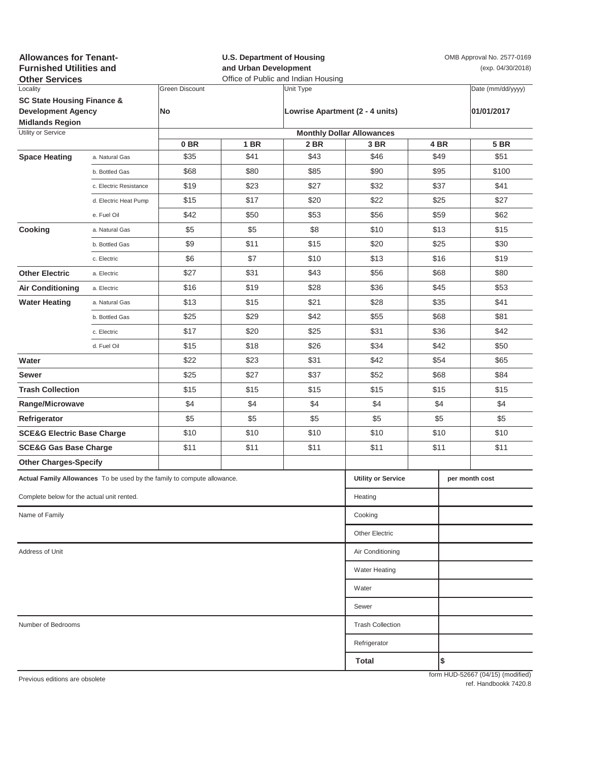| <b>Allowances for Tenant-</b><br><b>Furnished Utilities and</b><br><b>Other Services</b> |                           |                       | <b>U.S. Department of Housing</b><br>and Urban Development<br>Office of Public and Indian Housing |                                 |                                  |              | OMB Approval No. 2577-0169<br>(exp. 04/30/2018) |                                   |  |
|------------------------------------------------------------------------------------------|---------------------------|-----------------------|---------------------------------------------------------------------------------------------------|---------------------------------|----------------------------------|--------------|-------------------------------------------------|-----------------------------------|--|
| Locality                                                                                 |                           | <b>Green Discount</b> |                                                                                                   | Unit Type                       |                                  |              |                                                 | Date (mm/dd/yyyy)                 |  |
| <b>SC State Housing Finance &amp;</b><br><b>Development Agency</b>                       |                           | No                    |                                                                                                   | Lowrise Apartment (2 - 4 units) |                                  |              |                                                 | 01/01/2017                        |  |
| <b>Midlands Region</b>                                                                   |                           |                       |                                                                                                   |                                 |                                  |              |                                                 |                                   |  |
| Utility or Service                                                                       |                           |                       |                                                                                                   |                                 | <b>Monthly Dollar Allowances</b> |              |                                                 |                                   |  |
|                                                                                          |                           | 0 <sub>BR</sub>       | 1 BR                                                                                              | 2 BR                            | 3 BR                             |              | 4 BR                                            | <b>5 BR</b>                       |  |
| <b>Space Heating</b>                                                                     | a. Natural Gas            | \$35<br>\$68          | \$41<br>\$80                                                                                      | \$43<br>\$85                    | \$46<br>\$90                     |              | \$49<br>\$95                                    | \$51<br>\$100                     |  |
| Cooking                                                                                  | b. Bottled Gas            |                       |                                                                                                   |                                 |                                  |              |                                                 |                                   |  |
|                                                                                          | c. Electric Resistance    | \$19                  | \$23                                                                                              | \$27                            | \$32                             | \$37<br>\$25 |                                                 | \$41                              |  |
|                                                                                          | d. Electric Heat Pump     | \$15                  | \$17                                                                                              | \$20                            | \$22                             |              |                                                 | \$27                              |  |
|                                                                                          | e. Fuel Oil               | \$42                  | \$50                                                                                              | \$53                            | \$56                             |              | \$59                                            | \$62                              |  |
|                                                                                          | a. Natural Gas            | \$5                   | \$5                                                                                               | \$8                             | \$10                             | \$13         |                                                 | \$15                              |  |
|                                                                                          | b. Bottled Gas            | \$9                   | \$11                                                                                              | \$15                            | \$20                             | \$25         |                                                 | \$30                              |  |
|                                                                                          | c. Electric               | \$6                   | \$7                                                                                               | \$10                            | \$13                             |              | \$16                                            | \$19                              |  |
| <b>Other Electric</b>                                                                    | a. Electric               | \$27                  | \$31                                                                                              | \$43                            | \$56                             | \$68         |                                                 | \$80                              |  |
| <b>Air Conditioning</b>                                                                  | a. Electric               | \$16                  | \$19                                                                                              | \$28                            | \$36                             | \$45         |                                                 | \$53                              |  |
| <b>Water Heating</b>                                                                     | a. Natural Gas            | \$13                  | \$15                                                                                              | \$21                            | \$28                             |              | \$35                                            | \$41                              |  |
|                                                                                          | b. Bottled Gas            | \$25                  | \$29                                                                                              | \$42                            | \$55                             |              | \$68                                            | \$81                              |  |
|                                                                                          | c. Electric               | \$17                  | \$20                                                                                              | \$25                            | \$31                             |              | \$36                                            | \$42                              |  |
|                                                                                          | d. Fuel Oil               | \$15                  | \$18                                                                                              | \$26                            | \$34                             |              | \$42                                            | \$50                              |  |
| Water                                                                                    |                           | \$22                  | \$23                                                                                              | \$31                            | \$42                             |              | \$54                                            | \$65                              |  |
| Sewer                                                                                    |                           | \$25                  | \$27                                                                                              | \$37                            | \$52                             |              | \$68                                            | \$84                              |  |
| <b>Trash Collection</b>                                                                  |                           | \$15                  | \$15                                                                                              | \$15                            | \$15                             |              | \$15                                            | \$15                              |  |
| Range/Microwave                                                                          |                           | \$4                   | \$4                                                                                               | \$4                             | \$4                              |              | \$4                                             | \$4                               |  |
| Refrigerator                                                                             |                           | \$5                   | \$5                                                                                               | \$5                             | \$5                              | \$5          |                                                 | \$5                               |  |
| <b>SCE&amp;G Electric Base Charge</b>                                                    |                           | \$10                  | \$10                                                                                              | \$10                            | \$10                             | \$10         |                                                 | \$10                              |  |
| <b>SCE&amp;G Gas Base Charge</b>                                                         |                           | \$11                  | \$11                                                                                              | \$11                            | \$11                             |              | \$11                                            | \$11                              |  |
| <b>Other Charges-Specify</b>                                                             |                           |                       |                                                                                                   |                                 |                                  |              |                                                 |                                   |  |
| Actual Family Allowances To be used by the family to compute allowance.                  | <b>Utility or Service</b> |                       |                                                                                                   | per month cost                  |                                  |              |                                                 |                                   |  |
| Complete below for the actual unit rented.                                               |                           |                       |                                                                                                   |                                 | Heating                          |              |                                                 |                                   |  |
| Name of Family                                                                           |                           |                       |                                                                                                   |                                 | Cooking                          |              |                                                 |                                   |  |
|                                                                                          |                           |                       |                                                                                                   |                                 | <b>Other Electric</b>            |              |                                                 |                                   |  |
| Address of Unit                                                                          | Air Conditioning          |                       |                                                                                                   |                                 |                                  |              |                                                 |                                   |  |
|                                                                                          |                           |                       |                                                                                                   |                                 | <b>Water Heating</b>             |              |                                                 |                                   |  |
|                                                                                          |                           |                       |                                                                                                   |                                 | Water                            |              |                                                 |                                   |  |
|                                                                                          |                           |                       |                                                                                                   |                                 | Sewer                            |              |                                                 |                                   |  |
| Number of Bedrooms                                                                       | <b>Trash Collection</b>   |                       |                                                                                                   |                                 |                                  |              |                                                 |                                   |  |
|                                                                                          |                           |                       |                                                                                                   |                                 | Refrigerator                     |              |                                                 |                                   |  |
|                                                                                          |                           |                       |                                                                                                   |                                 | Total                            |              | \$                                              |                                   |  |
| Previous editions are obsolete                                                           |                           |                       |                                                                                                   |                                 |                                  |              |                                                 | form HUD-52667 (04/15) (modified) |  |